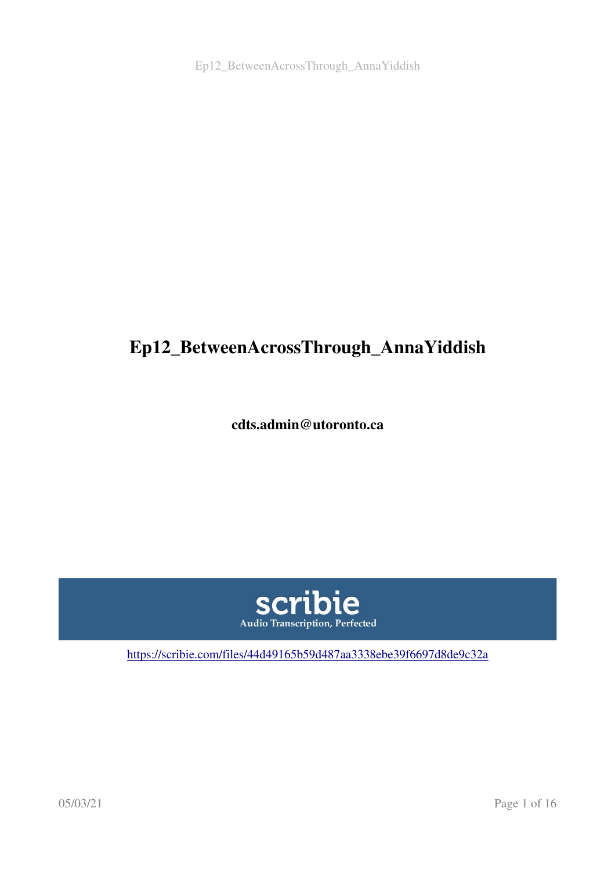# Ep12\_BetweenAcrossThrough\_AnnaYiddish

cdts.admin@utoronto.ca



<https://scribie.com/files/44d49165b59d487aa3338ebe39f6697d8de9c32a>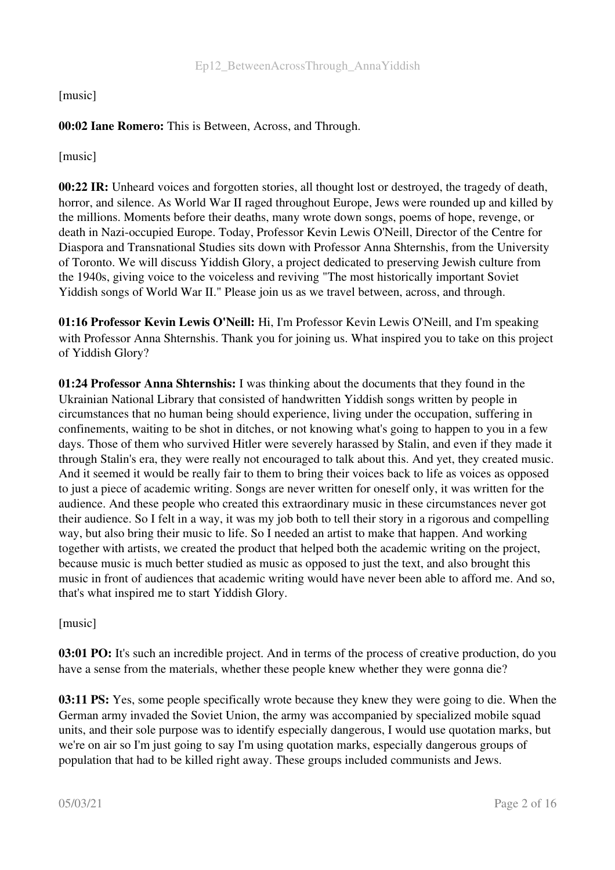[music]

#### 00:02 Iane Romero: This is Between, Across, and Through.

[music]

00:22 IR: Unheard voices and forgotten stories, all thought lost or destroyed, the tragedy of death, horror, and silence. As World War II raged throughout Europe, Jews were rounded up and killed by the millions. Moments before their deaths, many wrote down songs, poems of hope, revenge, or death in Nazi-occupied Europe. Today, Professor Kevin Lewis O'Neill, Director of the Centre for Diaspora and Transnational Studies sits down with Professor Anna Shternshis, from the University of Toronto. We will discuss Yiddish Glory, a project dedicated to preserving Jewish culture from the 1940s, giving voice to the voiceless and reviving "The most historically important Soviet Yiddish songs of World War II." Please join us as we travel between, across, and through.

01:16 Professor Kevin Lewis O'Neill: Hi, I'm Professor Kevin Lewis O'Neill, and I'm speaking with Professor Anna Shternshis. Thank you for joining us. What inspired you to take on this project of Yiddish Glory?

01:24 Professor Anna Shternshis: I was thinking about the documents that they found in the Ukrainian National Library that consisted of handwritten Yiddish songs written by people in circumstances that no human being should experience, living under the occupation, suffering in confinements, waiting to be shot in ditches, or not knowing what's going to happen to you in a few days. Those of them who survived Hitler were severely harassed by Stalin, and even if they made it through Stalin's era, they were really not encouraged to talk about this. And yet, they created music. And it seemed it would be really fair to them to bring their voices back to life as voices as opposed to just a piece of academic writing. Songs are never written for oneself only, it was written for the audience. And these people who created this extraordinary music in these circumstances never got their audience. So I felt in a way, it was my job both to tell their story in a rigorous and compelling way, but also bring their music to life. So I needed an artist to make that happen. And working together with artists, we created the product that helped both the academic writing on the project, because music is much better studied as music as opposed to just the text, and also brought this music in front of audiences that academic writing would have never been able to afford me. And so, that's what inspired me to start Yiddish Glory.

[music]

03:01 PO: It's such an incredible project. And in terms of the process of creative production, do you have a sense from the materials, whether these people knew whether they were gonna die?

03:11 PS: Yes, some people specifically wrote because they knew they were going to die. When the German army invaded the Soviet Union, the army was accompanied by specialized mobile squad units, and their sole purpose was to identify especially dangerous, I would use quotation marks, but we're on air so I'm just going to say I'm using quotation marks, especially dangerous groups of population that had to be killed right away. These groups included communists and Jews.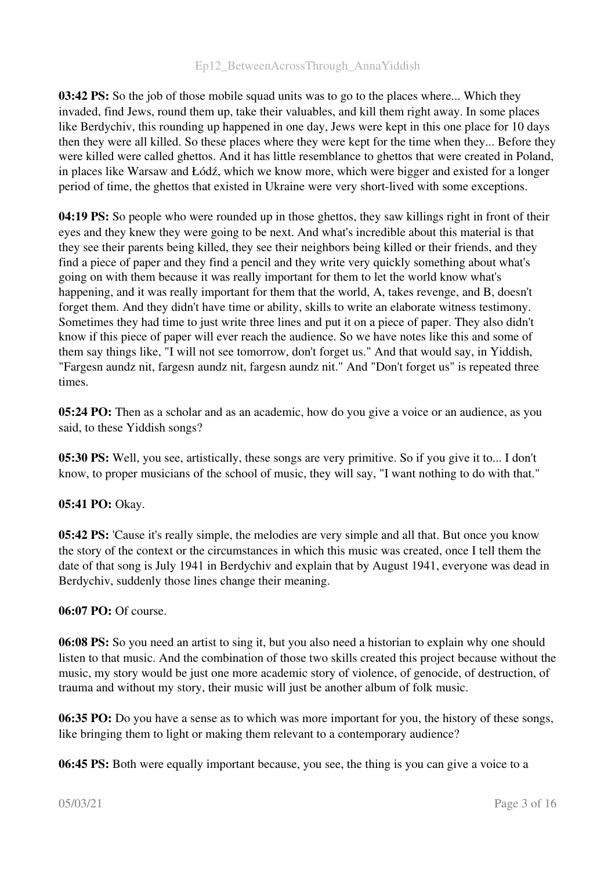03:42 PS: So the job of those mobile squad units was to go to the places where... Which they invaded, find Jews, round them up, take their valuables, and kill them right away. In some places like Berdychiv, this rounding up happened in one day, Jews were kept in this one place for 10 days then they were all killed. So these places where they were kept for the time when they... Before they were killed were called ghettos. And it has little resemblance to ghettos that were created in Poland, in places like Warsaw and Łódź, which we know more, which were bigger and existed for a longer period of time, the ghettos that existed in Ukraine were very short-lived with some exceptions.

04:19 PS: So people who were rounded up in those ghettos, they saw killings right in front of their eyes and they knew they were going to be next. And what's incredible about this material is that they see their parents being killed, they see their neighbors being killed or their friends, and they find a piece of paper and they find a pencil and they write very quickly something about what's going on with them because it was really important for them to let the world know what's happening, and it was really important for them that the world, A, takes revenge, and B, doesn't forget them. And they didn't have time or ability, skills to write an elaborate witness testimony. Sometimes they had time to just write three lines and put it on a piece of paper. They also didn't know if this piece of paper will ever reach the audience. So we have notes like this and some of them say things like, "I will not see tomorrow, don't forget us." And that would say, in Yiddish, "Fargesn aundz nit, fargesn aundz nit, fargesn aundz nit." And "Don't forget us" is repeated three times.

05:24 PO: Then as a scholar and as an academic, how do you give a voice or an audience, as you said, to these Yiddish songs?

05:30 PS: Well, you see, artistically, these songs are very primitive. So if you give it to... I don't know, to proper musicians of the school of music, they will say, "I want nothing to do with that."

#### 05:41 PO: Okay.

05:42 PS: 'Cause it's really simple, the melodies are very simple and all that. But once you know the story of the context or the circumstances in which this music was created, once I tell them the date of that song is July 1941 in Berdychiv and explain that by August 1941, everyone was dead in Berdychiv, suddenly those lines change their meaning.

#### 06:07 PO: Of course.

06:08 PS: So you need an artist to sing it, but you also need a historian to explain why one should listen to that music. And the combination of those two skills created this project because without the music, my story would be just one more academic story of violence, of genocide, of destruction, of trauma and without my story, their music will just be another album of folk music.

06:35 PO: Do you have a sense as to which was more important for you, the history of these songs, like bringing them to light or making them relevant to a contemporary audience?

06:45 PS: Both were equally important because, you see, the thing is you can give a voice to a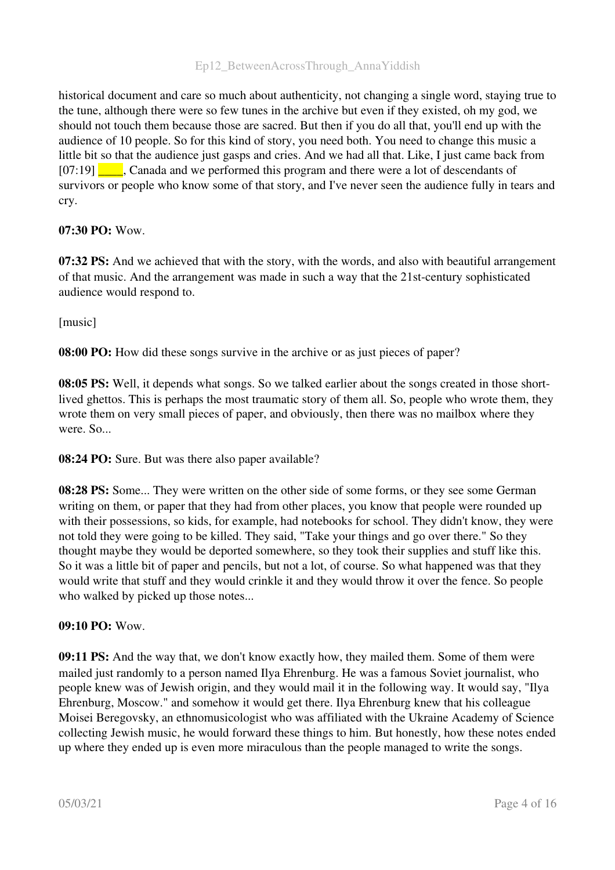historical document and care so much about authenticity, not changing a single word, staying true to the tune, although there were so few tunes in the archive but even if they existed, oh my god, we should not touch them because those are sacred. But then if you do all that, you'll end up with the audience of 10 people. So for this kind of story, you need both. You need to change this music a little bit so that the audience just gasps and cries. And we had all that. Like, I just came back from [07:19] \_\_\_\_, Canada and we performed this program and there were a lot of descendants of survivors or people who know some of that story, and I've never seen the audience fully in tears and cry.

#### 07:30 PO: Wow.

07:32 PS: And we achieved that with the story, with the words, and also with beautiful arrangement of that music. And the arrangement was made in such a way that the 21st-century sophisticated audience would respond to.

[music]

08:00 PO: How did these songs survive in the archive or as just pieces of paper?

08:05 PS: Well, it depends what songs. So we talked earlier about the songs created in those shortlived ghettos. This is perhaps the most traumatic story of them all. So, people who wrote them, they wrote them on very small pieces of paper, and obviously, then there was no mailbox where they were. So...

08:24 PO: Sure. But was there also paper available?

**08:28 PS:** Some... They were written on the other side of some forms, or they see some German writing on them, or paper that they had from other places, you know that people were rounded up with their possessions, so kids, for example, had notebooks for school. They didn't know, they were not told they were going to be killed. They said, "Take your things and go over there." So they thought maybe they would be deported somewhere, so they took their supplies and stuff like this. So it was a little bit of paper and pencils, but not a lot, of course. So what happened was that they would write that stuff and they would crinkle it and they would throw it over the fence. So people who walked by picked up those notes...

#### 09:10 PO: Wow.

09:11 PS: And the way that, we don't know exactly how, they mailed them. Some of them were mailed just randomly to a person named Ilya Ehrenburg. He was a famous Soviet journalist, who people knew was of Jewish origin, and they would mail it in the following way. It would say, "Ilya Ehrenburg, Moscow." and somehow it would get there. Ilya Ehrenburg knew that his colleague Moisei Beregovsky, an ethnomusicologist who was affiliated with the Ukraine Academy of Science collecting Jewish music, he would forward these things to him. But honestly, how these notes ended up where they ended up is even more miraculous than the people managed to write the songs.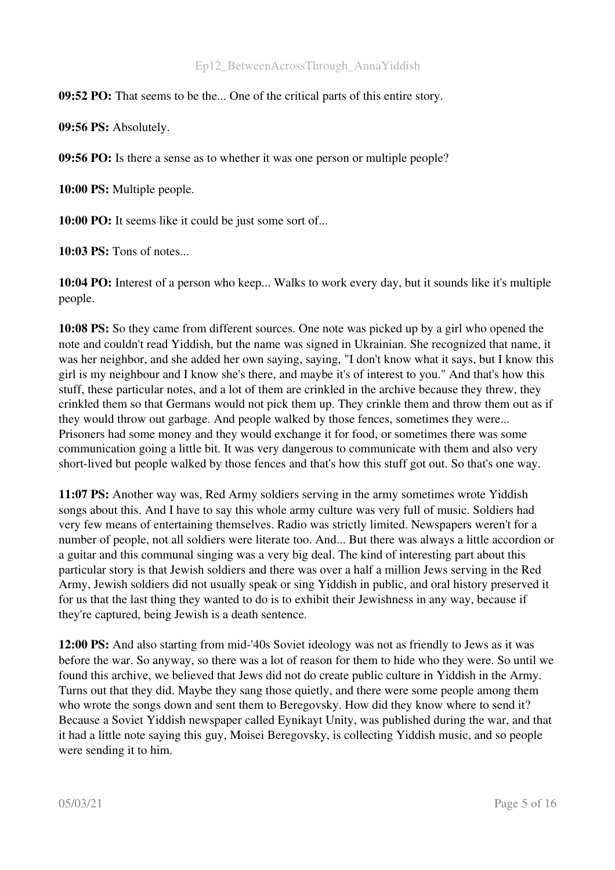09:52 PO: That seems to be the... One of the critical parts of this entire story.

09:56 PS: Absolutely.

09:56 PO: Is there a sense as to whether it was one person or multiple people?

10:00 PS: Multiple people.

10:00 PO: It seems like it could be just some sort of...

10:03 PS: Tons of notes...

10:04 PO: Interest of a person who keep... Walks to work every day, but it sounds like it's multiple people.

10:08 PS: So they came from different sources. One note was picked up by a girl who opened the note and couldn't read Yiddish, but the name was signed in Ukrainian. She recognized that name, it was her neighbor, and she added her own saying, saying, "I don't know what it says, but I know this girl is my neighbour and I know she's there, and maybe it's of interest to you." And that's how this stuff, these particular notes, and a lot of them are crinkled in the archive because they threw, they crinkled them so that Germans would not pick them up. They crinkle them and throw them out as if they would throw out garbage. And people walked by those fences, sometimes they were... Prisoners had some money and they would exchange it for food, or sometimes there was some communication going a little bit. It was very dangerous to communicate with them and also very short-lived but people walked by those fences and that's how this stuff got out. So that's one way.

11:07 PS: Another way was, Red Army soldiers serving in the army sometimes wrote Yiddish songs about this. And I have to say this whole army culture was very full of music. Soldiers had very few means of entertaining themselves. Radio was strictly limited. Newspapers weren't for a number of people, not all soldiers were literate too. And... But there was always a little accordion or a guitar and this communal singing was a very big deal. The kind of interesting part about this particular story is that Jewish soldiers and there was over a half a million Jews serving in the Red Army, Jewish soldiers did not usually speak or sing Yiddish in public, and oral history preserved it for us that the last thing they wanted to do is to exhibit their Jewishness in any way, because if they're captured, being Jewish is a death sentence.

12:00 PS: And also starting from mid-'40s Soviet ideology was not as friendly to Jews as it was before the war. So anyway, so there was a lot of reason for them to hide who they were. So until we found this archive, we believed that Jews did not do create public culture in Yiddish in the Army. Turns out that they did. Maybe they sang those quietly, and there were some people among them who wrote the songs down and sent them to Beregovsky. How did they know where to send it? Because a Soviet Yiddish newspaper called Eynikayt Unity, was published during the war, and that it had a little note saying this guy, Moisei Beregovsky, is collecting Yiddish music, and so people were sending it to him.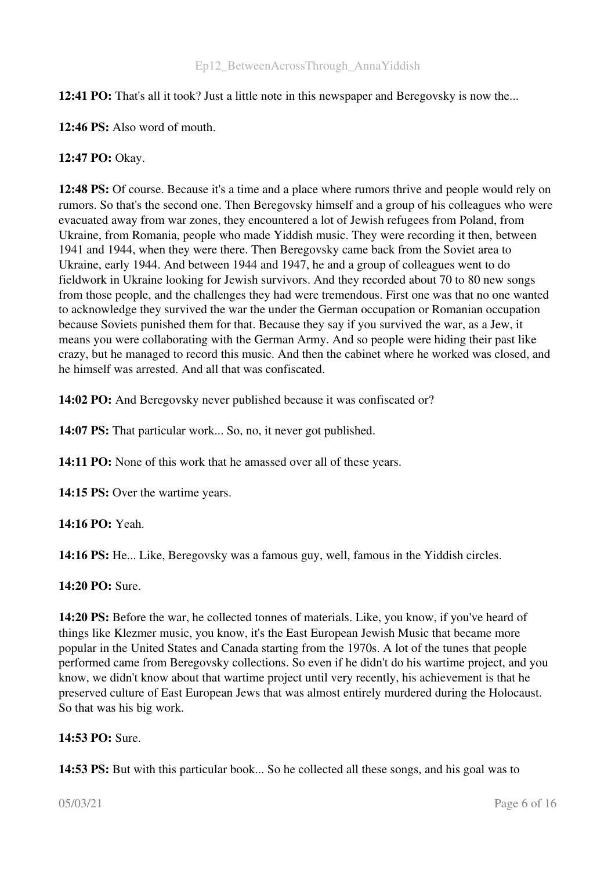#### 12:41 PO: That's all it took? Just a little note in this newspaper and Beregovsky is now the...

12:46 PS: Also word of mouth.

#### 12:47 PO: Okay.

12:48 PS: Of course. Because it's a time and a place where rumors thrive and people would rely on rumors. So that's the second one. Then Beregovsky himself and a group of his colleagues who were evacuated away from war zones, they encountered a lot of Jewish refugees from Poland, from Ukraine, from Romania, people who made Yiddish music. They were recording it then, between 1941 and 1944, when they were there. Then Beregovsky came back from the Soviet area to Ukraine, early 1944. And between 1944 and 1947, he and a group of colleagues went to do fieldwork in Ukraine looking for Jewish survivors. And they recorded about 70 to 80 new songs from those people, and the challenges they had were tremendous. First one was that no one wanted to acknowledge they survived the war the under the German occupation or Romanian occupation because Soviets punished them for that. Because they say if you survived the war, as a Jew, it means you were collaborating with the German Army. And so people were hiding their past like crazy, but he managed to record this music. And then the cabinet where he worked was closed, and he himself was arrested. And all that was confiscated.

14:02 PO: And Beregovsky never published because it was confiscated or?

14:07 PS: That particular work... So, no, it never got published.

14:11 PO: None of this work that he amassed over all of these years.

14:15 PS: Over the wartime years.

14:16 PO: Yeah.

14:16 PS: He... Like, Beregovsky was a famous guy, well, famous in the Yiddish circles.

14:20 PO: Sure.

14:20 PS: Before the war, he collected tonnes of materials. Like, you know, if you've heard of things like Klezmer music, you know, it's the East European Jewish Music that became more popular in the United States and Canada starting from the 1970s. A lot of the tunes that people performed came from Beregovsky collections. So even if he didn't do his wartime project, and you know, we didn't know about that wartime project until very recently, his achievement is that he preserved culture of East European Jews that was almost entirely murdered during the Holocaust. So that was his big work.

#### 14:53 PO: Sure.

14:53 PS: But with this particular book... So he collected all these songs, and his goal was to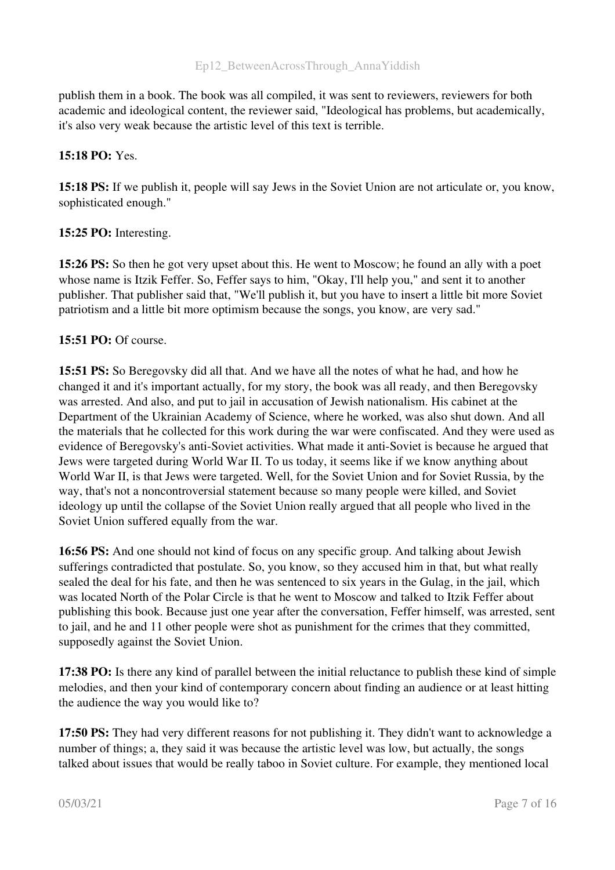publish them in a book. The book was all compiled, it was sent to reviewers, reviewers for both academic and ideological content, the reviewer said, "Ideological has problems, but academically, it's also very weak because the artistic level of this text is terrible.

#### 15:18 PO: Yes.

15:18 PS: If we publish it, people will say Jews in the Soviet Union are not articulate or, you know, sophisticated enough."

#### 15:25 PO: Interesting.

15:26 PS: So then he got very upset about this. He went to Moscow; he found an ally with a poet whose name is Itzik Feffer. So, Feffer says to him, "Okay, I'll help you," and sent it to another publisher. That publisher said that, "We'll publish it, but you have to insert a little bit more Soviet patriotism and a little bit more optimism because the songs, you know, are very sad."

#### 15:51 PO: Of course.

15:51 PS: So Beregovsky did all that. And we have all the notes of what he had, and how he changed it and it's important actually, for my story, the book was all ready, and then Beregovsky was arrested. And also, and put to jail in accusation of Jewish nationalism. His cabinet at the Department of the Ukrainian Academy of Science, where he worked, was also shut down. And all the materials that he collected for this work during the war were confiscated. And they were used as evidence of Beregovsky's anti-Soviet activities. What made it anti-Soviet is because he argued that Jews were targeted during World War II. To us today, it seems like if we know anything about World War II, is that Jews were targeted. Well, for the Soviet Union and for Soviet Russia, by the way, that's not a noncontroversial statement because so many people were killed, and Soviet ideology up until the collapse of the Soviet Union really argued that all people who lived in the Soviet Union suffered equally from the war.

16:56 PS: And one should not kind of focus on any specific group. And talking about Jewish sufferings contradicted that postulate. So, you know, so they accused him in that, but what really sealed the deal for his fate, and then he was sentenced to six years in the Gulag, in the jail, which was located North of the Polar Circle is that he went to Moscow and talked to Itzik Feffer about publishing this book. Because just one year after the conversation, Feffer himself, was arrested, sent to jail, and he and 11 other people were shot as punishment for the crimes that they committed, supposedly against the Soviet Union.

17:38 PO: Is there any kind of parallel between the initial reluctance to publish these kind of simple melodies, and then your kind of contemporary concern about finding an audience or at least hitting the audience the way you would like to?

17:50 PS: They had very different reasons for not publishing it. They didn't want to acknowledge a number of things; a, they said it was because the artistic level was low, but actually, the songs talked about issues that would be really taboo in Soviet culture. For example, they mentioned local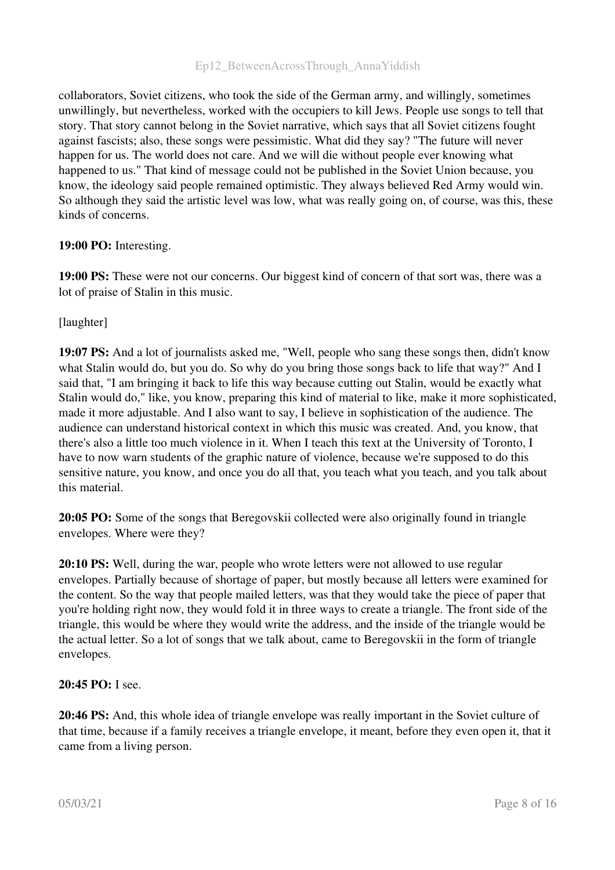collaborators, Soviet citizens, who took the side of the German army, and willingly, sometimes unwillingly, but nevertheless, worked with the occupiers to kill Jews. People use songs to tell that story. That story cannot belong in the Soviet narrative, which says that all Soviet citizens fought against fascists; also, these songs were pessimistic. What did they say? "The future will never happen for us. The world does not care. And we will die without people ever knowing what happened to us." That kind of message could not be published in the Soviet Union because, you know, the ideology said people remained optimistic. They always believed Red Army would win. So although they said the artistic level was low, what was really going on, of course, was this, these kinds of concerns.

#### 19:00 PO: Interesting.

19:00 PS: These were not our concerns. Our biggest kind of concern of that sort was, there was a lot of praise of Stalin in this music.

[laughter]

19:07 PS: And a lot of journalists asked me, "Well, people who sang these songs then, didn't know what Stalin would do, but you do. So why do you bring those songs back to life that way?" And I said that, "I am bringing it back to life this way because cutting out Stalin, would be exactly what Stalin would do," like, you know, preparing this kind of material to like, make it more sophisticated, made it more adjustable. And I also want to say, I believe in sophistication of the audience. The audience can understand historical context in which this music was created. And, you know, that there's also a little too much violence in it. When I teach this text at the University of Toronto, I have to now warn students of the graphic nature of violence, because we're supposed to do this sensitive nature, you know, and once you do all that, you teach what you teach, and you talk about this material.

20:05 PO: Some of the songs that Beregovskii collected were also originally found in triangle envelopes. Where were they?

20:10 PS: Well, during the war, people who wrote letters were not allowed to use regular envelopes. Partially because of shortage of paper, but mostly because all letters were examined for the content. So the way that people mailed letters, was that they would take the piece of paper that you're holding right now, they would fold it in three ways to create a triangle. The front side of the triangle, this would be where they would write the address, and the inside of the triangle would be the actual letter. So a lot of songs that we talk about, came to Beregovskii in the form of triangle envelopes.

#### 20:45 PO: I see.

20:46 PS: And, this whole idea of triangle envelope was really important in the Soviet culture of that time, because if a family receives a triangle envelope, it meant, before they even open it, that it came from a living person.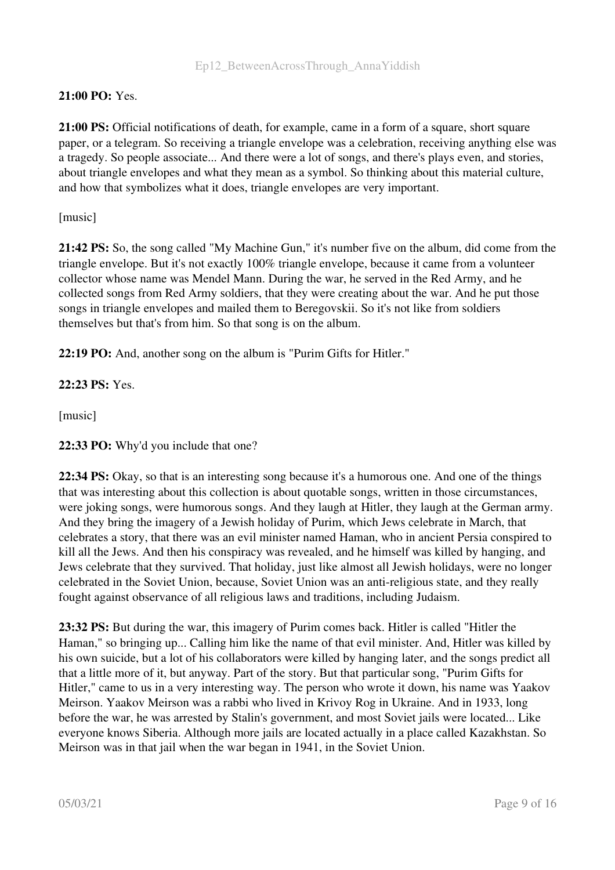## 21:00 PO: Yes.

21:00 PS: Official notifications of death, for example, came in a form of a square, short square paper, or a telegram. So receiving a triangle envelope was a celebration, receiving anything else was a tragedy. So people associate... And there were a lot of songs, and there's plays even, and stories, about triangle envelopes and what they mean as a symbol. So thinking about this material culture, and how that symbolizes what it does, triangle envelopes are very important.

[music]

21:42 PS: So, the song called "My Machine Gun," it's number five on the album, did come from the triangle envelope. But it's not exactly 100% triangle envelope, because it came from a volunteer collector whose name was Mendel Mann. During the war, he served in the Red Army, and he collected songs from Red Army soldiers, that they were creating about the war. And he put those songs in triangle envelopes and mailed them to Beregovskii. So it's not like from soldiers themselves but that's from him. So that song is on the album.

22:19 PO: And, another song on the album is "Purim Gifts for Hitler."

# 22:23 PS: Yes.

[music]

22:33 PO: Why'd you include that one?

22:34 PS: Okay, so that is an interesting song because it's a humorous one. And one of the things that was interesting about this collection is about quotable songs, written in those circumstances, were joking songs, were humorous songs. And they laugh at Hitler, they laugh at the German army. And they bring the imagery of a Jewish holiday of Purim, which Jews celebrate in March, that celebrates a story, that there was an evil minister named Haman, who in ancient Persia conspired to kill all the Jews. And then his conspiracy was revealed, and he himself was killed by hanging, and Jews celebrate that they survived. That holiday, just like almost all Jewish holidays, were no longer celebrated in the Soviet Union, because, Soviet Union was an anti-religious state, and they really fought against observance of all religious laws and traditions, including Judaism.

23:32 PS: But during the war, this imagery of Purim comes back. Hitler is called "Hitler the Haman," so bringing up... Calling him like the name of that evil minister. And, Hitler was killed by his own suicide, but a lot of his collaborators were killed by hanging later, and the songs predict all that a little more of it, but anyway. Part of the story. But that particular song, "Purim Gifts for Hitler," came to us in a very interesting way. The person who wrote it down, his name was Yaakov Meirson. Yaakov Meirson was a rabbi who lived in Krivoy Rog in Ukraine. And in 1933, long before the war, he was arrested by Stalin's government, and most Soviet jails were located... Like everyone knows Siberia. Although more jails are located actually in a place called Kazakhstan. So Meirson was in that jail when the war began in 1941, in the Soviet Union.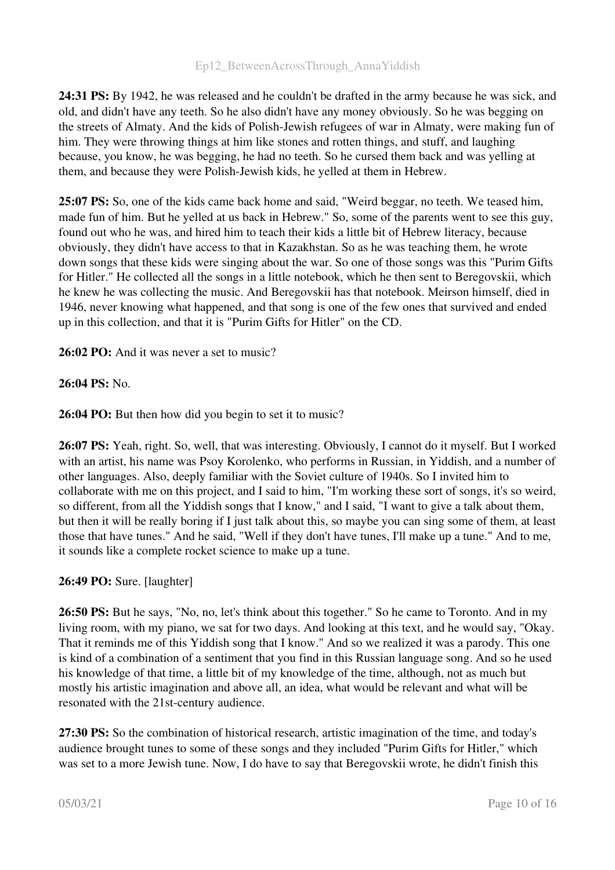24:31 PS: By 1942, he was released and he couldn't be drafted in the army because he was sick, and old, and didn't have any teeth. So he also didn't have any money obviously. So he was begging on the streets of Almaty. And the kids of Polish-Jewish refugees of war in Almaty, were making fun of him. They were throwing things at him like stones and rotten things, and stuff, and laughing because, you know, he was begging, he had no teeth. So he cursed them back and was yelling at them, and because they were Polish-Jewish kids, he yelled at them in Hebrew.

25:07 PS: So, one of the kids came back home and said, "Weird beggar, no teeth. We teased him, made fun of him. But he yelled at us back in Hebrew." So, some of the parents went to see this guy, found out who he was, and hired him to teach their kids a little bit of Hebrew literacy, because obviously, they didn't have access to that in Kazakhstan. So as he was teaching them, he wrote down songs that these kids were singing about the war. So one of those songs was this "Purim Gifts for Hitler." He collected all the songs in a little notebook, which he then sent to Beregovskii, which he knew he was collecting the music. And Beregovskii has that notebook. Meirson himself, died in 1946, never knowing what happened, and that song is one of the few ones that survived and ended up in this collection, and that it is "Purim Gifts for Hitler" on the CD.

26:02 PO: And it was never a set to music?

26:04 PS: No.

26:04 PO: But then how did you begin to set it to music?

26:07 PS: Yeah, right. So, well, that was interesting. Obviously, I cannot do it myself. But I worked with an artist, his name was Psoy Korolenko, who performs in Russian, in Yiddish, and a number of other languages. Also, deeply familiar with the Soviet culture of 1940s. So I invited him to collaborate with me on this project, and I said to him, "I'm working these sort of songs, it's so weird, so different, from all the Yiddish songs that I know," and I said, "I want to give a talk about them, but then it will be really boring if I just talk about this, so maybe you can sing some of them, at least those that have tunes." And he said, "Well if they don't have tunes, I'll make up a tune." And to me, it sounds like a complete rocket science to make up a tune.

#### 26:49 PO: Sure. [laughter]

26:50 PS: But he says, "No, no, let's think about this together." So he came to Toronto. And in my living room, with my piano, we sat for two days. And looking at this text, and he would say, "Okay. That it reminds me of this Yiddish song that I know." And so we realized it was a parody. This one is kind of a combination of a sentiment that you find in this Russian language song. And so he used his knowledge of that time, a little bit of my knowledge of the time, although, not as much but mostly his artistic imagination and above all, an idea, what would be relevant and what will be resonated with the 21st-century audience.

27:30 PS: So the combination of historical research, artistic imagination of the time, and today's audience brought tunes to some of these songs and they included "Purim Gifts for Hitler," which was set to a more Jewish tune. Now, I do have to say that Beregovskii wrote, he didn't finish this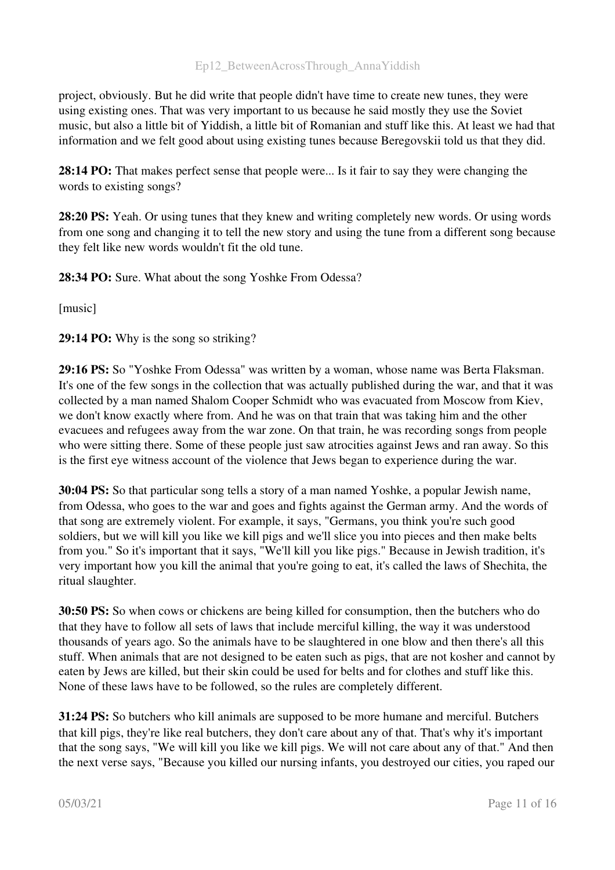project, obviously. But he did write that people didn't have time to create new tunes, they were using existing ones. That was very important to us because he said mostly they use the Soviet music, but also a little bit of Yiddish, a little bit of Romanian and stuff like this. At least we had that information and we felt good about using existing tunes because Beregovskii told us that they did.

28:14 PO: That makes perfect sense that people were... Is it fair to say they were changing the words to existing songs?

28:20 PS: Yeah. Or using tunes that they knew and writing completely new words. Or using words from one song and changing it to tell the new story and using the tune from a different song because they felt like new words wouldn't fit the old tune.

28:34 PO: Sure. What about the song Yoshke From Odessa?

[music]

29:14 PO: Why is the song so striking?

29:16 PS: So "Yoshke From Odessa" was written by a woman, whose name was Berta Flaksman. It's one of the few songs in the collection that was actually published during the war, and that it was collected by a man named Shalom Cooper Schmidt who was evacuated from Moscow from Kiev, we don't know exactly where from. And he was on that train that was taking him and the other evacuees and refugees away from the war zone. On that train, he was recording songs from people who were sitting there. Some of these people just saw atrocities against Jews and ran away. So this is the first eye witness account of the violence that Jews began to experience during the war.

30:04 PS: So that particular song tells a story of a man named Yoshke, a popular Jewish name, from Odessa, who goes to the war and goes and fights against the German army. And the words of that song are extremely violent. For example, it says, "Germans, you think you're such good soldiers, but we will kill you like we kill pigs and we'll slice you into pieces and then make belts from you." So it's important that it says, "We'll kill you like pigs." Because in Jewish tradition, it's very important how you kill the animal that you're going to eat, it's called the laws of Shechita, the ritual slaughter.

30:50 PS: So when cows or chickens are being killed for consumption, then the butchers who do that they have to follow all sets of laws that include merciful killing, the way it was understood thousands of years ago. So the animals have to be slaughtered in one blow and then there's all this stuff. When animals that are not designed to be eaten such as pigs, that are not kosher and cannot by eaten by Jews are killed, but their skin could be used for belts and for clothes and stuff like this. None of these laws have to be followed, so the rules are completely different.

31:24 PS: So butchers who kill animals are supposed to be more humane and merciful. Butchers that kill pigs, they're like real butchers, they don't care about any of that. That's why it's important that the song says, "We will kill you like we kill pigs. We will not care about any of that." And then the next verse says, "Because you killed our nursing infants, you destroyed our cities, you raped our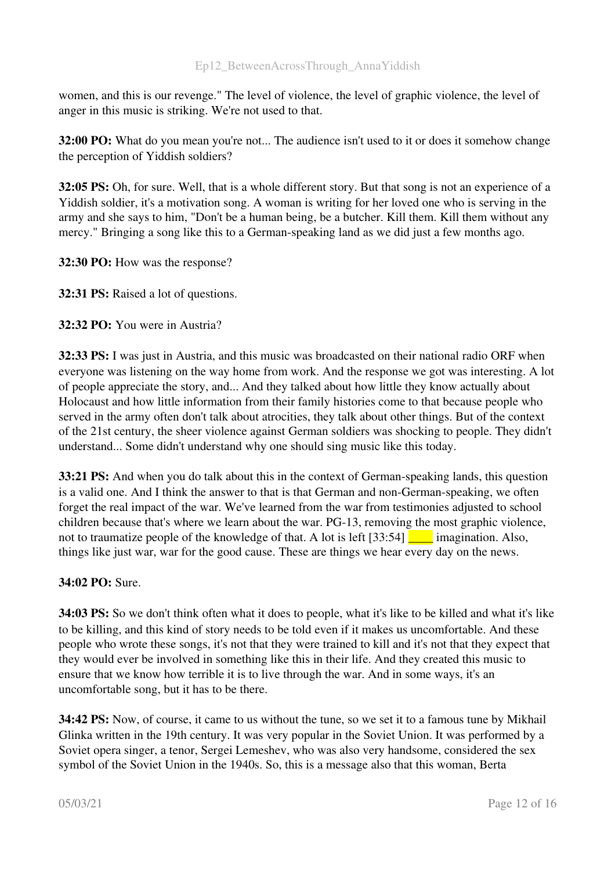women, and this is our revenge." The level of violence, the level of graphic violence, the level of anger in this music is striking. We're not used to that.

32:00 PO: What do you mean you're not... The audience isn't used to it or does it somehow change the perception of Yiddish soldiers?

32:05 PS: Oh, for sure. Well, that is a whole different story. But that song is not an experience of a Yiddish soldier, it's a motivation song. A woman is writing for her loved one who is serving in the army and she says to him, "Don't be a human being, be a butcher. Kill them. Kill them without any mercy." Bringing a song like this to a German-speaking land as we did just a few months ago.

32:30 PO: How was the response?

32:31 PS: Raised a lot of questions.

32:32 PO: You were in Austria?

32:33 PS: I was just in Austria, and this music was broadcasted on their national radio ORF when everyone was listening on the way home from work. And the response we got was interesting. A lot of people appreciate the story, and... And they talked about how little they know actually about Holocaust and how little information from their family histories come to that because people who served in the army often don't talk about atrocities, they talk about other things. But of the context of the 21st century, the sheer violence against German soldiers was shocking to people. They didn't understand... Some didn't understand why one should sing music like this today.

33:21 PS: And when you do talk about this in the context of German-speaking lands, this question is a valid one. And I think the answer to that is that German and non-German-speaking, we often forget the real impact of the war. We've learned from the war from testimonies adjusted to school children because that's where we learn about the war. PG-13, removing the most graphic violence, not to traumatize people of the knowledge of that. A lot is left  $[33:54]$  imagination. Also, things like just war, war for the good cause. These are things we hear every day on the news.

#### 34:02 PO: Sure.

34:03 PS: So we don't think often what it does to people, what it's like to be killed and what it's like to be killing, and this kind of story needs to be told even if it makes us uncomfortable. And these people who wrote these songs, it's not that they were trained to kill and it's not that they expect that they would ever be involved in something like this in their life. And they created this music to ensure that we know how terrible it is to live through the war. And in some ways, it's an uncomfortable song, but it has to be there.

34:42 PS: Now, of course, it came to us without the tune, so we set it to a famous tune by Mikhail Glinka written in the 19th century. It was very popular in the Soviet Union. It was performed by a Soviet opera singer, a tenor, Sergei Lemeshev, who was also very handsome, considered the sex symbol of the Soviet Union in the 1940s. So, this is a message also that this woman, Berta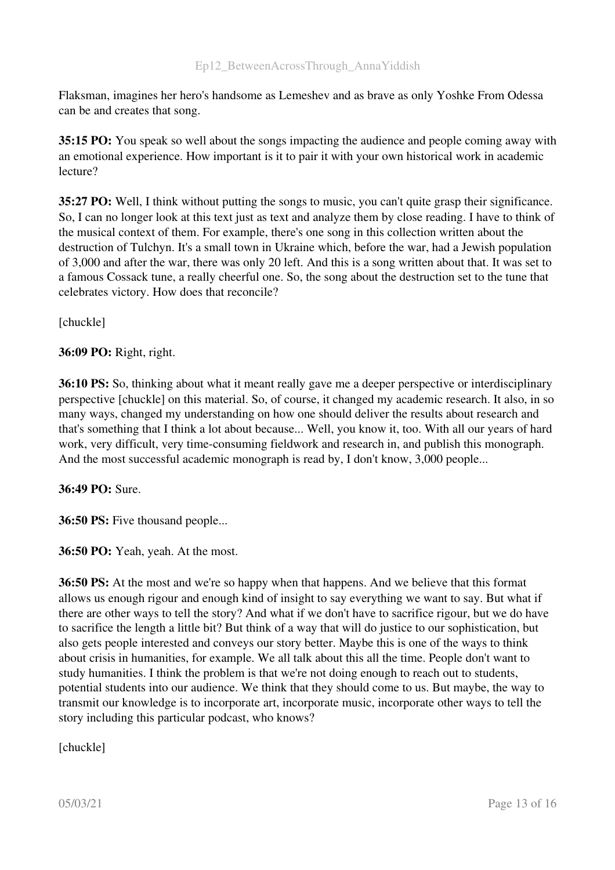Flaksman, imagines her hero's handsome as Lemeshev and as brave as only Yoshke From Odessa can be and creates that song.

35:15 PO: You speak so well about the songs impacting the audience and people coming away with an emotional experience. How important is it to pair it with your own historical work in academic lecture?

35:27 PO: Well, I think without putting the songs to music, you can't quite grasp their significance. So, I can no longer look at this text just as text and analyze them by close reading. I have to think of the musical context of them. For example, there's one song in this collection written about the destruction of Tulchyn. It's a small town in Ukraine which, before the war, had a Jewish population of 3,000 and after the war, there was only 20 left. And this is a song written about that. It was set to a famous Cossack tune, a really cheerful one. So, the song about the destruction set to the tune that celebrates victory. How does that reconcile?

[chuckle]

36:09 PO: Right, right.

36:10 PS: So, thinking about what it meant really gave me a deeper perspective or interdisciplinary perspective [chuckle] on this material. So, of course, it changed my academic research. It also, in so many ways, changed my understanding on how one should deliver the results about research and that's something that I think a lot about because... Well, you know it, too. With all our years of hard work, very difficult, very time-consuming fieldwork and research in, and publish this monograph. And the most successful academic monograph is read by, I don't know, 3,000 people...

36:49 PO: Sure.

36:50 PS: Five thousand people...

36:50 PO: Yeah, yeah. At the most.

36:50 PS: At the most and we're so happy when that happens. And we believe that this format allows us enough rigour and enough kind of insight to say everything we want to say. But what if there are other ways to tell the story? And what if we don't have to sacrifice rigour, but we do have to sacrifice the length a little bit? But think of a way that will do justice to our sophistication, but also gets people interested and conveys our story better. Maybe this is one of the ways to think about crisis in humanities, for example. We all talk about this all the time. People don't want to study humanities. I think the problem is that we're not doing enough to reach out to students, potential students into our audience. We think that they should come to us. But maybe, the way to transmit our knowledge is to incorporate art, incorporate music, incorporate other ways to tell the story including this particular podcast, who knows?

[chuckle]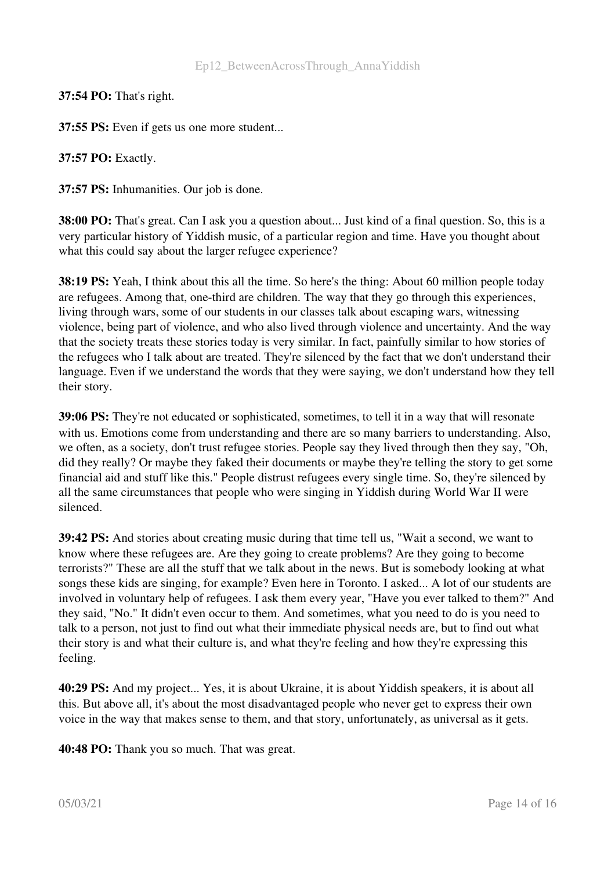37:54 PO: That's right.

37:55 PS: Even if gets us one more student...

37:57 PO: Exactly.

37:57 PS: Inhumanities. Our job is done.

38:00 PO: That's great. Can I ask you a question about... Just kind of a final question. So, this is a very particular history of Yiddish music, of a particular region and time. Have you thought about what this could say about the larger refugee experience?

38:19 PS: Yeah, I think about this all the time. So here's the thing: About 60 million people today are refugees. Among that, one-third are children. The way that they go through this experiences, living through wars, some of our students in our classes talk about escaping wars, witnessing violence, being part of violence, and who also lived through violence and uncertainty. And the way that the society treats these stories today is very similar. In fact, painfully similar to how stories of the refugees who I talk about are treated. They're silenced by the fact that we don't understand their language. Even if we understand the words that they were saying, we don't understand how they tell their story.

39:06 PS: They're not educated or sophisticated, sometimes, to tell it in a way that will resonate with us. Emotions come from understanding and there are so many barriers to understanding. Also, we often, as a society, don't trust refugee stories. People say they lived through then they say, "Oh, did they really? Or maybe they faked their documents or maybe they're telling the story to get some financial aid and stuff like this." People distrust refugees every single time. So, they're silenced by all the same circumstances that people who were singing in Yiddish during World War II were silenced.

39:42 PS: And stories about creating music during that time tell us, "Wait a second, we want to know where these refugees are. Are they going to create problems? Are they going to become terrorists?" These are all the stuff that we talk about in the news. But is somebody looking at what songs these kids are singing, for example? Even here in Toronto. I asked... A lot of our students are involved in voluntary help of refugees. I ask them every year, "Have you ever talked to them?" And they said, "No." It didn't even occur to them. And sometimes, what you need to do is you need to talk to a person, not just to find out what their immediate physical needs are, but to find out what their story is and what their culture is, and what they're feeling and how they're expressing this feeling.

40:29 PS: And my project... Yes, it is about Ukraine, it is about Yiddish speakers, it is about all this. But above all, it's about the most disadvantaged people who never get to express their own voice in the way that makes sense to them, and that story, unfortunately, as universal as it gets.

40:48 PO: Thank you so much. That was great.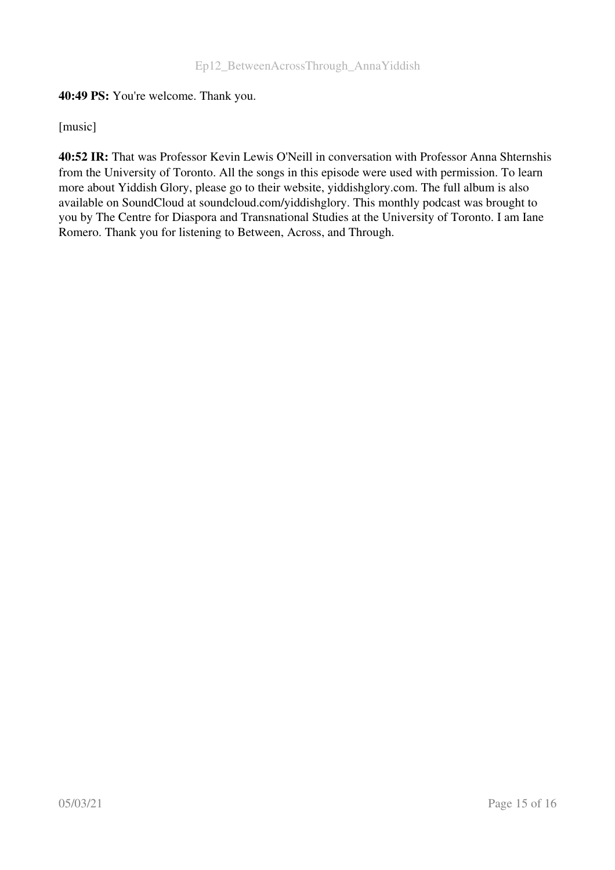## 40:49 PS: You're welcome. Thank you.

[music]

40:52 IR: That was Professor Kevin Lewis O'Neill in conversation with Professor Anna Shternshis from the University of Toronto. All the songs in this episode were used with permission. To learn more about Yiddish Glory, please go to their website, yiddishglory.com. The full album is also available on SoundCloud at soundcloud.com/yiddishglory. This monthly podcast was brought to you by The Centre for Diaspora and Transnational Studies at the University of Toronto. I am Iane Romero. Thank you for listening to Between, Across, and Through.